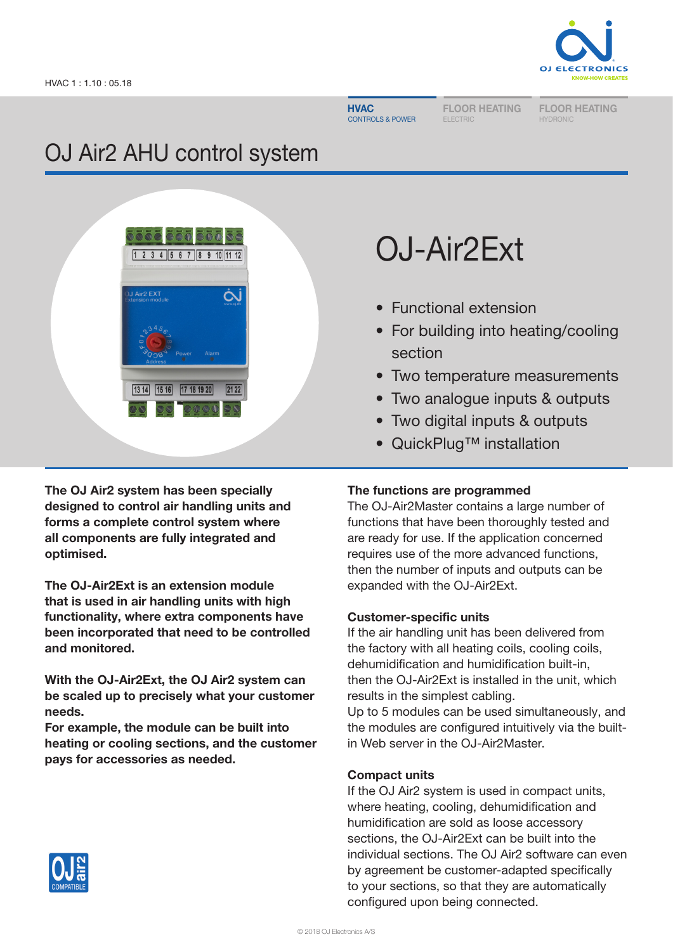

**HVAC** CONTROLS & POWER FLOOR HEATING ELECTRIC

FLOOR HEATING HYDRONIC

# OJ Air2 AHU control system



OJ-Air2Ext

- Functional extension
- For building into heating/cooling section
- Two temperature measurements
- Two analogue inputs & outputs
- Two digital inputs & outputs
- QuickPlug™ installation

The OJ Air2 system has been specially designed to control air handling units and forms a complete control system where all components are fully integrated and optimised.

The OJ-Air2Ext is an extension module that is used in air handling units with high functionality, where extra components have been incorporated that need to be controlled and monitored.

With the OJ-Air2Ext, the OJ Air2 system can be scaled up to precisely what your customer needs.

For example, the module can be built into heating or cooling sections, and the customer pays for accessories as needed.

# The functions are programmed

The OJ-Air2Master contains a large number of functions that have been thoroughly tested and are ready for use. If the application concerned requires use of the more advanced functions, then the number of inputs and outputs can be expanded with the OJ-Air2Ext.

# Customer-specific units

If the air handling unit has been delivered from the factory with all heating coils, cooling coils, dehumidification and humidification built-in, then the OJ-Air2Ext is installed in the unit, which results in the simplest cabling.

Up to 5 modules can be used simultaneously, and the modules are configured intuitively via the builtin Web server in the OJ-Air2Master.

# Compact units

If the OJ Air2 system is used in compact units, where heating, cooling, dehumidification and humidification are sold as loose accessory sections, the OJ-Air2Ext can be built into the individual sections. The OJ Air2 software can even by agreement be customer-adapted specifically to your sections, so that they are automatically configured upon being connected.